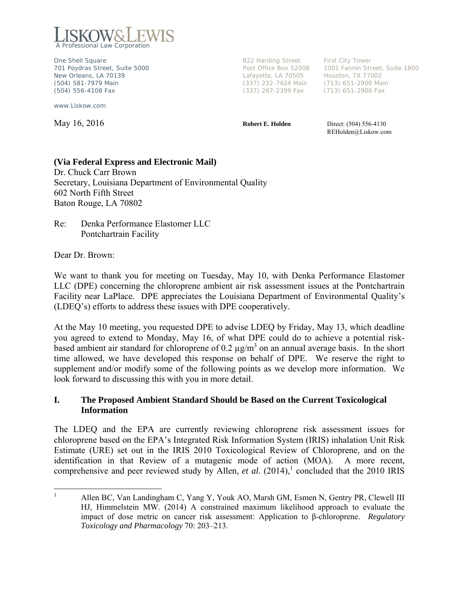

One Shell Square **822 Harding Street** First City Tower New Orleans, LA 70139 Lafayette, LA 70505 Houston, TX 77002 (504) 581-7979 Main (337) 232-7424 Main (713) 651-2900 Main (504) 556-4108 Fax (337) 267-2399 Fax (713) 651-2908 Fax

www.Liskow.com

701 Poydras Street, Suite 5000 Post Office Box 52008 1001 Fannin Street, Suite 1800

**May 16, 2016 Robert E. Holden** Direct: (504) 556-4130 REHolden@Liskow.com

#### **(Via Federal Express and Electronic Mail)**

Dr. Chuck Carr Brown Secretary, Louisiana Department of Environmental Quality 602 North Fifth Street Baton Rouge, LA 70802

Re: Denka Performance Elastomer LLC Pontchartrain Facility

Dear Dr. Brown:

We want to thank you for meeting on Tuesday, May 10, with Denka Performance Elastomer LLC (DPE) concerning the chloroprene ambient air risk assessment issues at the Pontchartrain Facility near LaPlace. DPE appreciates the Louisiana Department of Environmental Quality's (LDEQ's) efforts to address these issues with DPE cooperatively.

At the May 10 meeting, you requested DPE to advise LDEQ by Friday, May 13, which deadline you agreed to extend to Monday, May 16, of what DPE could do to achieve a potential riskbased ambient air standard for chloroprene of 0.2  $\mu$ g/m<sup>3</sup> on an annual average basis. In the short time allowed, we have developed this response on behalf of DPE. We reserve the right to supplement and/or modify some of the following points as we develop more information. We look forward to discussing this with you in more detail.

#### **I. The Proposed Ambient Standard Should be Based on the Current Toxicological Information**

The LDEQ and the EPA are currently reviewing chloroprene risk assessment issues for chloroprene based on the EPA's Integrated Risk Information System (IRIS) inhalation Unit Risk Estimate (URE) set out in the IRIS 2010 Toxicological Review of Chloroprene, and on the identification in that Review of a mutagenic mode of action (MOA). A more recent, comprehensive and peer reviewed study by Allen, *et al.*  $(2014)$ ,<sup>1</sup> concluded that the 2010 IRIS

<sup>|&</sup>lt;br>|<br>| Allen BC, Van Landingham C, Yang Y, Youk AO, Marsh GM, Esmen N, Gentry PR, Clewell III HJ, Himmelstein MW. (2014) A constrained maximum likelihood approach to evaluate the impact of dose metric on cancer risk assessment: Application to β-chloroprene. *Regulatory Toxicology and Pharmacology* 70: 203–213.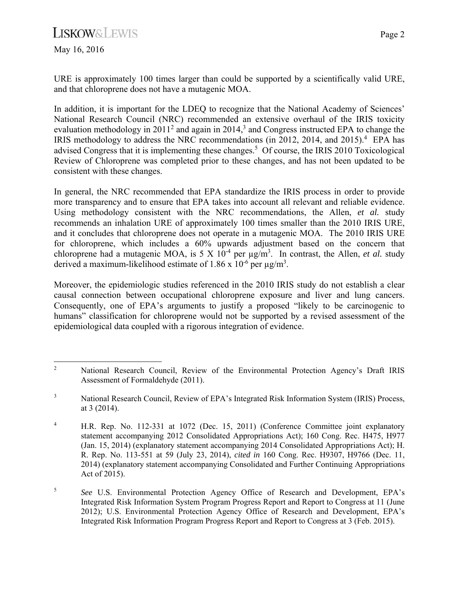# **LISKOW&LEWIS**

May 16, 2016

URE is approximately 100 times larger than could be supported by a scientifically valid URE, and that chloroprene does not have a mutagenic MOA.

In addition, it is important for the LDEQ to recognize that the National Academy of Sciences' National Research Council (NRC) recommended an extensive overhaul of the IRIS toxicity evaluation methodology in  $2011<sup>2</sup>$  and again in  $2014<sup>3</sup>$  and Congress instructed EPA to change the IRIS methodology to address the NRC recommendations (in 2012, 2014, and 2015).<sup>4</sup> EPA has advised Congress that it is implementing these changes.<sup>5</sup> Of course, the IRIS 2010 Toxicological Review of Chloroprene was completed prior to these changes, and has not been updated to be consistent with these changes.

In general, the NRC recommended that EPA standardize the IRIS process in order to provide more transparency and to ensure that EPA takes into account all relevant and reliable evidence. Using methodology consistent with the NRC recommendations, the Allen, *et al.* study recommends an inhalation URE of approximately 100 times smaller than the 2010 IRIS URE, and it concludes that chloroprene does not operate in a mutagenic MOA. The 2010 IRIS URE for chloroprene, which includes a 60% upwards adjustment based on the concern that chloroprene had a mutagenic MOA, is 5 X  $10^{-4}$  per  $\mu$ g/m<sup>3</sup>. In contrast, the Allen, *et al.* study derived a maximum-likelihood estimate of 1.86 x  $10^{-6}$  per  $\mu$ g/m<sup>3</sup>.

Moreover, the epidemiologic studies referenced in the 2010 IRIS study do not establish a clear causal connection between occupational chloroprene exposure and liver and lung cancers. Consequently, one of EPA's arguments to justify a proposed "likely to be carcinogenic to humans" classification for chloroprene would not be supported by a revised assessment of the epidemiological data coupled with a rigorous integration of evidence.

<sup>&</sup>lt;sup>2</sup> National Research Council, Review of the Environmental Protection Agency's Draft IRIS Assessment of Formaldehyde (2011).

<sup>3</sup> National Research Council, Review of EPA's Integrated Risk Information System (IRIS) Process, at 3 (2014).

<sup>4</sup> H.R. Rep. No. 112-331 at 1072 (Dec. 15, 2011) (Conference Committee joint explanatory statement accompanying 2012 Consolidated Appropriations Act); 160 Cong. Rec. H475, H977 (Jan. 15, 2014) (explanatory statement accompanying 2014 Consolidated Appropriations Act); H. R. Rep. No. 113-551 at 59 (July 23, 2014), *cited in* 160 Cong. Rec. H9307, H9766 (Dec. 11, 2014) (explanatory statement accompanying Consolidated and Further Continuing Appropriations Act of 2015).

<sup>5</sup> *See* U.S. Environmental Protection Agency Office of Research and Development, EPA's Integrated Risk Information System Program Progress Report and Report to Congress at 11 (June 2012); U.S. Environmental Protection Agency Office of Research and Development, EPA's Integrated Risk Information Program Progress Report and Report to Congress at 3 (Feb. 2015).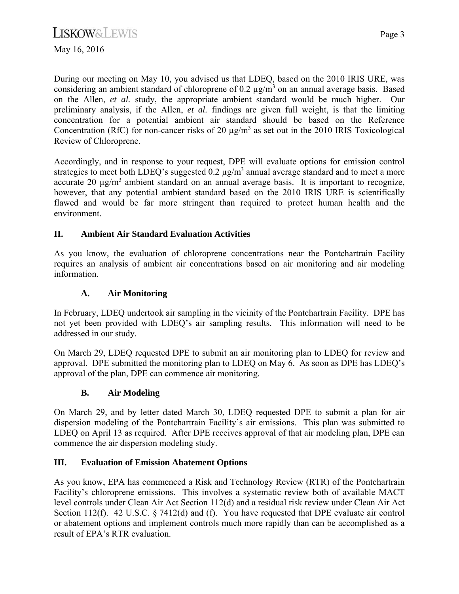May 16, 2016

During our meeting on May 10, you advised us that LDEQ, based on the 2010 IRIS URE, was considering an ambient standard of chloroprene of  $0.2 \mu g/m^3$  on an annual average basis. Based on the Allen, *et al.* study, the appropriate ambient standard would be much higher. Our preliminary analysis, if the Allen, *et al.* findings are given full weight, is that the limiting concentration for a potential ambient air standard should be based on the Reference Concentration (RfC) for non-cancer risks of 20  $\mu$ g/m<sup>3</sup> as set out in the 2010 IRIS Toxicological Review of Chloroprene.

Accordingly, and in response to your request, DPE will evaluate options for emission control strategies to meet both LDEQ's suggested  $0.2 \mu g/m^3$  annual average standard and to meet a more accurate 20  $\mu$ g/m<sup>3</sup> ambient standard on an annual average basis. It is important to recognize, however, that any potential ambient standard based on the 2010 IRIS URE is scientifically flawed and would be far more stringent than required to protect human health and the environment.

## **II. Ambient Air Standard Evaluation Activities**

As you know, the evaluation of chloroprene concentrations near the Pontchartrain Facility requires an analysis of ambient air concentrations based on air monitoring and air modeling information.

# **A. Air Monitoring**

In February, LDEQ undertook air sampling in the vicinity of the Pontchartrain Facility. DPE has not yet been provided with LDEQ's air sampling results. This information will need to be addressed in our study.

On March 29, LDEQ requested DPE to submit an air monitoring plan to LDEQ for review and approval. DPE submitted the monitoring plan to LDEQ on May 6. As soon as DPE has LDEQ's approval of the plan, DPE can commence air monitoring.

## **B. Air Modeling**

On March 29, and by letter dated March 30, LDEQ requested DPE to submit a plan for air dispersion modeling of the Pontchartrain Facility's air emissions. This plan was submitted to LDEQ on April 13 as required. After DPE receives approval of that air modeling plan, DPE can commence the air dispersion modeling study.

## **III. Evaluation of Emission Abatement Options**

As you know, EPA has commenced a Risk and Technology Review (RTR) of the Pontchartrain Facility's chloroprene emissions. This involves a systematic review both of available MACT level controls under Clean Air Act Section 112(d) and a residual risk review under Clean Air Act Section 112(f). 42 U.S.C. § 7412(d) and (f). You have requested that DPE evaluate air control or abatement options and implement controls much more rapidly than can be accomplished as a result of EPA's RTR evaluation.